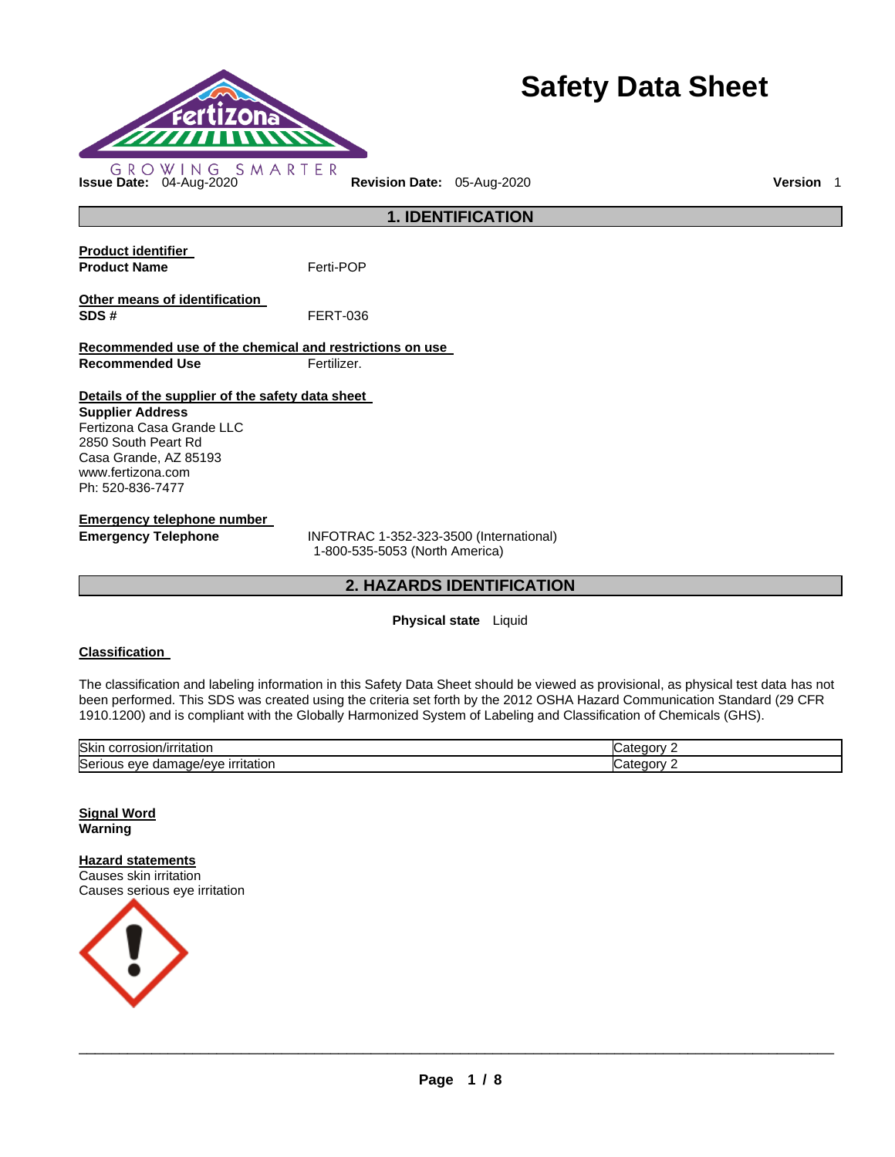

# **Safety Data Sheet**

**Product identifier Product Name Ferti-POP Other means of identification SDS #** FERT-036 **Recommended use of the chemical and restrictions on use Recommended Use Fertilizer. Details of the supplier of the safety data sheet Supplier Address** Fertizona Casa Grande LLC 2850 South Peart Rd Casa Grande, AZ 85193 www.fertizona.com Ph: 520-836-7477 **Emergency telephone number** 

**Emergency Telephone** INFOTRAC 1-352-323-3500 (International) 1-800-535-5053 (North America)

# **2. HAZARDS IDENTIFICATION**

**1. IDENTIFICATION** 

# **Physical state** Liquid

#### **Classification**

The classification and labeling information in this Safety Data Sheet should be viewed as provisional, as physical test data has not been performed. This SDS was created using the criteria set forth by the 2012 OSHA Hazard Communication Standard (29 CFR 1910.1200) and is compliant with the Globally Harmonized System of Labeling and Classification of Chemicals (GHS).

| Skir<br>$\cdots$ correct<br>$l$ rritotior<br>rosion/irritation<br>JOLL, | tegory<br>.ate            |
|-------------------------------------------------------------------------|---------------------------|
| Seriou<br><b>irritation</b><br>nade/eve<br>eve<br>паг<br>uu             | non <sup>.</sup><br>ater. |

**Signal Word Warning** 

**Hazard statements** Causes skin irritation Causes serious eye irritation

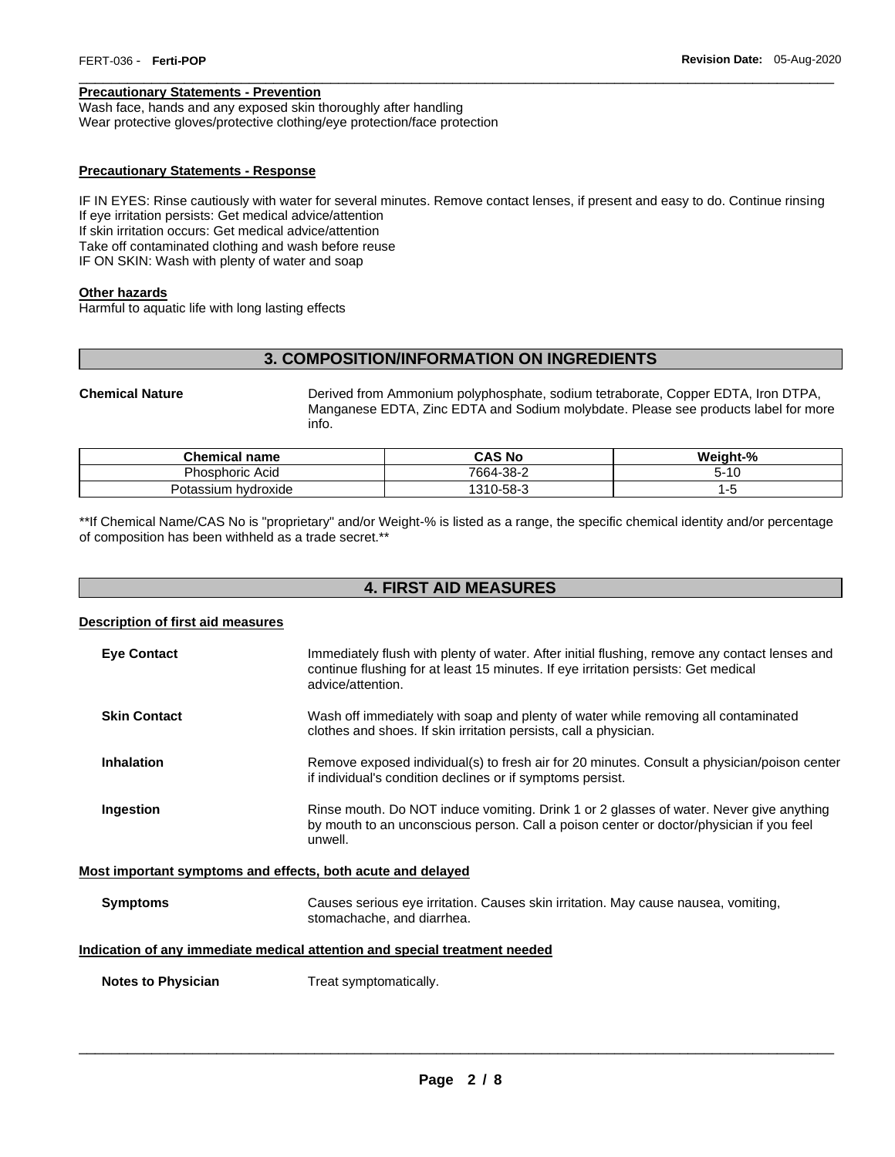#### **Precautionary Statements - Prevention**

Wash face, hands and any exposed skin thoroughly after handling Wear protective gloves/protective clothing/eye protection/face protection

# **Precautionary Statements - Response**

IF IN EYES: Rinse cautiously with water for several minutes. Remove contact lenses, if present and easy to do. Continue rinsing If eye irritation persists: Get medical advice/attention If skin irritation occurs: Get medical advice/attention Take off contaminated clothing and wash before reuse IF ON SKIN: Wash with plenty of water and soap

\_\_\_\_\_\_\_\_\_\_\_\_\_\_\_\_\_\_\_\_\_\_\_\_\_\_\_\_\_\_\_\_\_\_\_\_\_\_\_\_\_\_\_\_\_\_\_\_\_\_\_\_\_\_\_\_\_\_\_\_\_\_\_\_\_\_\_\_\_\_\_\_\_\_\_\_\_\_\_\_\_\_\_\_\_\_\_\_\_\_\_\_\_

#### **Other hazards**

Harmful to aquatic life with long lasting effects

# **3. COMPOSITION/INFORMATION ON INGREDIENTS**

**Chemical Nature** Derived from Ammonium polyphosphate, sodium tetraborate, Copper EDTA, Iron DTPA, Manganese EDTA, Zinc EDTA and Sodium molybdate. Please see products label for more info.

| <b>Chemical name</b>     | <b>CAS No</b> | Weight-%  |
|--------------------------|---------------|-----------|
| <b>Phosphoric Acid</b>   | 7664-38-2     | 10۰<br>၁- |
| ı hvdroxide<br>'otassium | 1310-58-3     |           |

\*\*If Chemical Name/CAS No is "proprietary" and/or Weight-% is listed as a range, the specific chemical identity and/or percentage of composition has been withheld as a trade secret.\*\*

# **4. FIRST AID MEASURES**

#### **Description of first aid measures**

| <b>Eve Contact</b>                                                         | Immediately flush with plenty of water. After initial flushing, remove any contact lenses and<br>continue flushing for at least 15 minutes. If eye irritation persists: Get medical<br>advice/attention. |  |  |  |
|----------------------------------------------------------------------------|----------------------------------------------------------------------------------------------------------------------------------------------------------------------------------------------------------|--|--|--|
| <b>Skin Contact</b>                                                        | Wash off immediately with soap and plenty of water while removing all contaminated<br>clothes and shoes. If skin irritation persists, call a physician.                                                  |  |  |  |
| <b>Inhalation</b>                                                          | Remove exposed individual(s) to fresh air for 20 minutes. Consult a physician/poison center<br>if individual's condition declines or if symptoms persist.                                                |  |  |  |
| Ingestion                                                                  | Rinse mouth. Do NOT induce vomiting. Drink 1 or 2 glasses of water. Never give anything<br>by mouth to an unconscious person. Call a poison center or doctor/physician if you feel<br>unwell.            |  |  |  |
| Most important symptoms and effects, both acute and delayed                |                                                                                                                                                                                                          |  |  |  |
| <b>Symptoms</b>                                                            | Causes serious eye irritation. Causes skin irritation. May cause nausea, vomiting,<br>stomachache, and diarrhea.                                                                                         |  |  |  |
| Indication of any immediate medical attention and special treatment needed |                                                                                                                                                                                                          |  |  |  |

**Notes to Physician**  Treat symptomatically.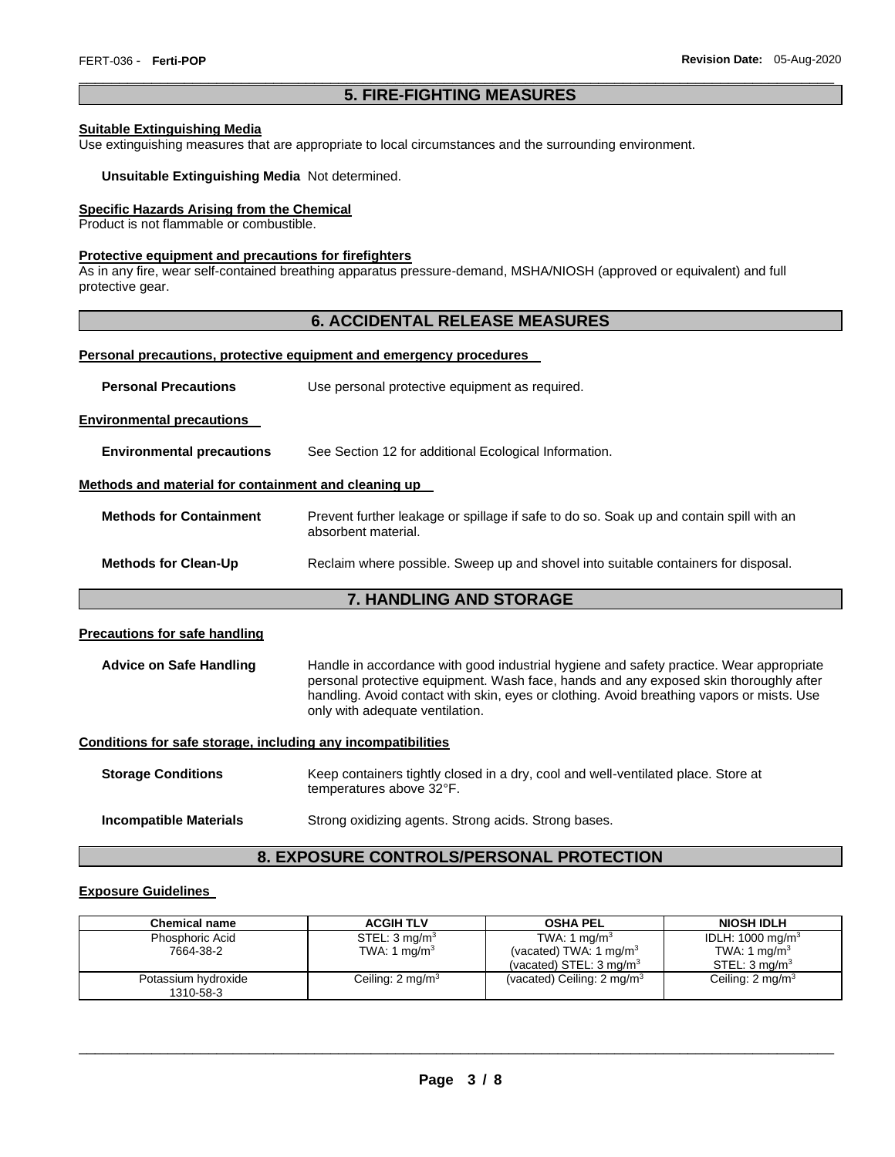# \_\_\_\_\_\_\_\_\_\_\_\_\_\_\_\_\_\_\_\_\_\_\_\_\_\_\_\_\_\_\_\_\_\_\_\_\_\_\_\_\_\_\_\_\_\_\_\_\_\_\_\_\_\_\_\_\_\_\_\_\_\_\_\_\_\_\_\_\_\_\_\_\_\_\_\_\_\_\_\_\_\_\_\_\_\_\_\_\_\_\_\_\_ **5. FIRE-FIGHTING MEASURES**

#### **Suitable Extinguishing Media**

Use extinguishing measures that are appropriate to local circumstances and the surrounding environment.

#### **Unsuitable Extinguishing Media** Not determined.

# **Specific Hazards Arising from the Chemical**

Product is not flammable or combustible.

#### **Protective equipment and precautions for firefighters**

As in any fire, wear self-contained breathing apparatus pressure-demand, MSHA/NIOSH (approved or equivalent) and full protective gear.

# **6. ACCIDENTAL RELEASE MEASURES**

#### **Personal precautions, protective equipment and emergency procedures**

|  | <b>Personal Precautions</b> | Use personal protective equipment as required. |
|--|-----------------------------|------------------------------------------------|
|--|-----------------------------|------------------------------------------------|

#### **Environmental precautions**

**Environmental precautions** See Section 12 for additional Ecological Information.

#### **Methods and material for containment and cleaning up**

| <b>Methods for Containment</b> | Prevent further leakage or spillage if safe to do so. Soak up and contain spill with an |
|--------------------------------|-----------------------------------------------------------------------------------------|
|                                | absorbent material.                                                                     |
|                                |                                                                                         |

# **Methods for Clean-Up** Reclaim where possible. Sweep up and shovel into suitable containers for disposal.

# **7. HANDLING AND STORAGE**

#### **Precautions for safe handling**

**Advice on Safe Handling** Handle in accordance with good industrial hygiene and safety practice. Wear appropriate personal protective equipment. Wash face, hands and any exposed skin thoroughly after handling. Avoid contact with skin, eyes or clothing. Avoid breathing vapors or mists. Use only with adequate ventilation.

#### **Conditions for safe storage, including any incompatibilities**

| <b>Storage Conditions</b> | Keep containers tightly closed in a dry, cool and well-ventilated place. Store at<br>temperatures above 32°F. |
|---------------------------|---------------------------------------------------------------------------------------------------------------|
| Incompatible Materials    | Strong oxidizing agents. Strong acids. Strong bases.                                                          |

# **8. EXPOSURE CONTROLS/PERSONAL PROTECTION**

# **Exposure Guidelines**

| <b>Chemical name</b>             | <b>ACGIH TLV</b>            | <b>OSHA PEL</b>                       | <b>NIOSH IDLH</b>            |
|----------------------------------|-----------------------------|---------------------------------------|------------------------------|
| Phosphoric Acid                  | STEL: $3 \text{ mg/m}^3$    | TWA: 1 mg/m <sup>3</sup>              | IDLH: 1000 mg/m <sup>3</sup> |
| 7664-38-2                        | TWA: 1 mg/m <sup>3</sup>    | (vacated) TWA: 1 mg/m <sup>3</sup>    | TWA: 1 mg/m <sup>3</sup>     |
|                                  |                             | (vacated) STEL: $3 \text{ mg/m}^3$    | STEL: 3 mg/m <sup>3</sup>    |
| Potassium hydroxide<br>1310-58-3 | Ceiling: $2 \text{ mg/m}^3$ | (vacated) Ceiling: $2 \text{ mg/m}^3$ | Ceiling: $2 \text{ mg/m}^3$  |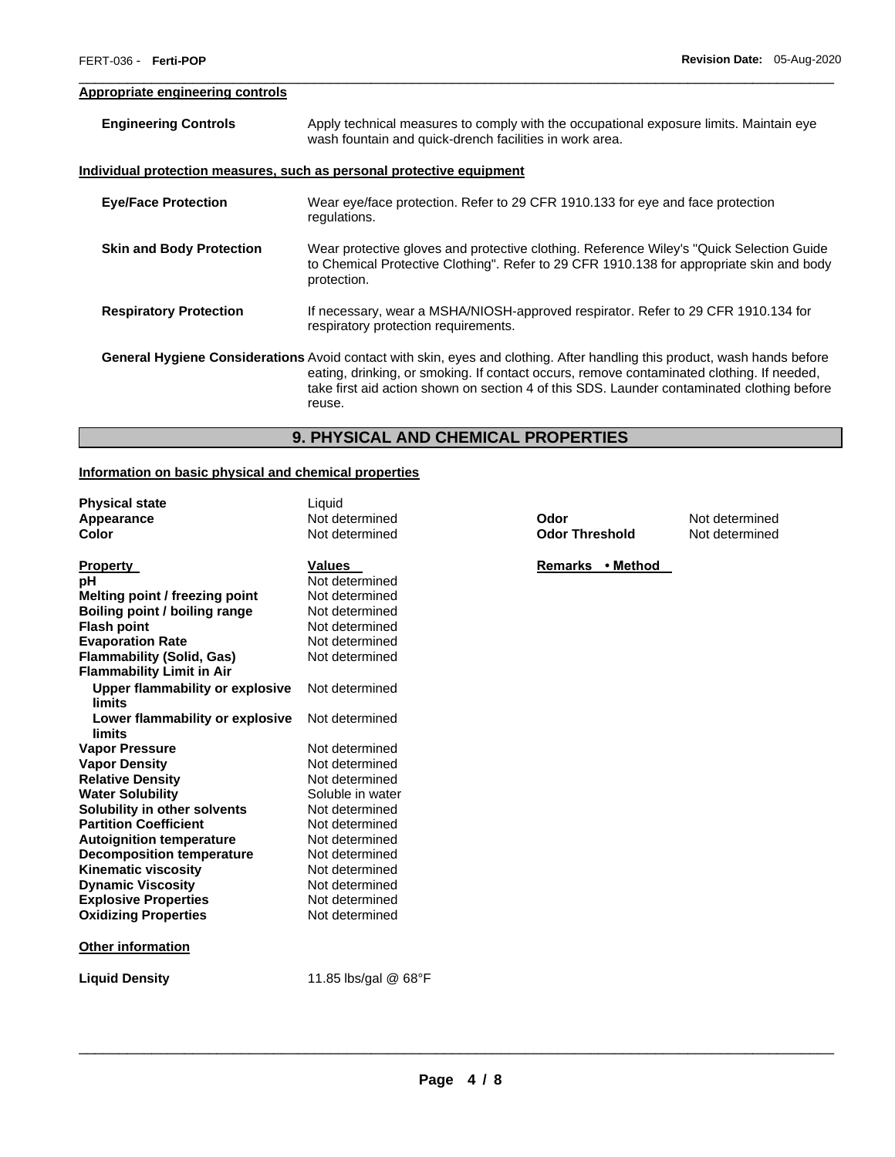# **Appropriate engineering controls**

| <b>Engineering Controls</b>     | Apply technical measures to comply with the occupational exposure limits. Maintain eye<br>wash fountain and quick-drench facilities in work area.                                                                                                                                                                              |  |
|---------------------------------|--------------------------------------------------------------------------------------------------------------------------------------------------------------------------------------------------------------------------------------------------------------------------------------------------------------------------------|--|
|                                 | <u>Individual protection measures, such as personal protective equipment</u>                                                                                                                                                                                                                                                   |  |
| <b>Eye/Face Protection</b>      | Wear eye/face protection. Refer to 29 CFR 1910.133 for eye and face protection<br>regulations.                                                                                                                                                                                                                                 |  |
| <b>Skin and Body Protection</b> | Wear protective gloves and protective clothing. Reference Wiley's "Quick Selection Guide"<br>to Chemical Protective Clothing". Refer to 29 CFR 1910.138 for appropriate skin and body<br>protection.                                                                                                                           |  |
| <b>Respiratory Protection</b>   | If necessary, wear a MSHA/NIOSH-approved respirator. Refer to 29 CFR 1910.134 for<br>respiratory protection requirements.                                                                                                                                                                                                      |  |
|                                 | General Hygiene Considerations Avoid contact with skin, eyes and clothing. After handling this product, wash hands before<br>eating, drinking, or smoking. If contact occurs, remove contaminated clothing. If needed,<br>take first aid action shown on section 4 of this SDS. Launder contaminated clothing before<br>reuse. |  |

\_\_\_\_\_\_\_\_\_\_\_\_\_\_\_\_\_\_\_\_\_\_\_\_\_\_\_\_\_\_\_\_\_\_\_\_\_\_\_\_\_\_\_\_\_\_\_\_\_\_\_\_\_\_\_\_\_\_\_\_\_\_\_\_\_\_\_\_\_\_\_\_\_\_\_\_\_\_\_\_\_\_\_\_\_\_\_\_\_\_\_\_\_

# **9. PHYSICAL AND CHEMICAL PROPERTIES**

# **Information on basic physical and chemical properties**

| <b>Physical state</b>                | Liquid               |
|--------------------------------------|----------------------|
| Appearance                           | Not determined       |
| Color                                | Not determined       |
|                                      |                      |
| <b>Property</b>                      | <b>Values</b>        |
| рH                                   | Not determined       |
| Melting point / freezing point       | Not determined       |
| <b>Boiling point / boiling range</b> | Not determined       |
| <b>Flash point</b>                   | Not determined       |
| <b>Evaporation Rate</b>              | Not determined       |
| <b>Flammability (Solid, Gas)</b>     | Not determined       |
| <b>Flammability Limit in Air</b>     |                      |
| Upper flammability or explosive      | Not determined       |
| limits                               |                      |
| Lower flammability or explosive      | Not determined       |
| limits                               |                      |
| <b>Vapor Pressure</b>                | Not determined       |
| <b>Vapor Density</b>                 | Not determined       |
| <b>Relative Density</b>              | Not determined       |
| <b>Water Solubility</b>              | Soluble in water     |
| Solubility in other solvents         | Not determined       |
| <b>Partition Coefficient</b>         | Not determined       |
| <b>Autoignition temperature</b>      | Not determined       |
| <b>Decomposition temperature</b>     | Not determined       |
| <b>Kinematic viscosity</b>           | Not determined       |
| <b>Dynamic Viscosity</b>             | Not determined       |
| <b>Explosive Properties</b>          | Not determined       |
| <b>Oxidizing Properties</b>          | Not determined       |
|                                      |                      |
| <b>Other information</b>             |                      |
| <b>Liquid Density</b>                | 11.85 lbs/gal @ 68°F |
|                                      |                      |

**Apple Therefore End Codor<br>
<b>A** Post determined **Odor Threshold** Not determined **Odor Threshold** 

Remarks • Method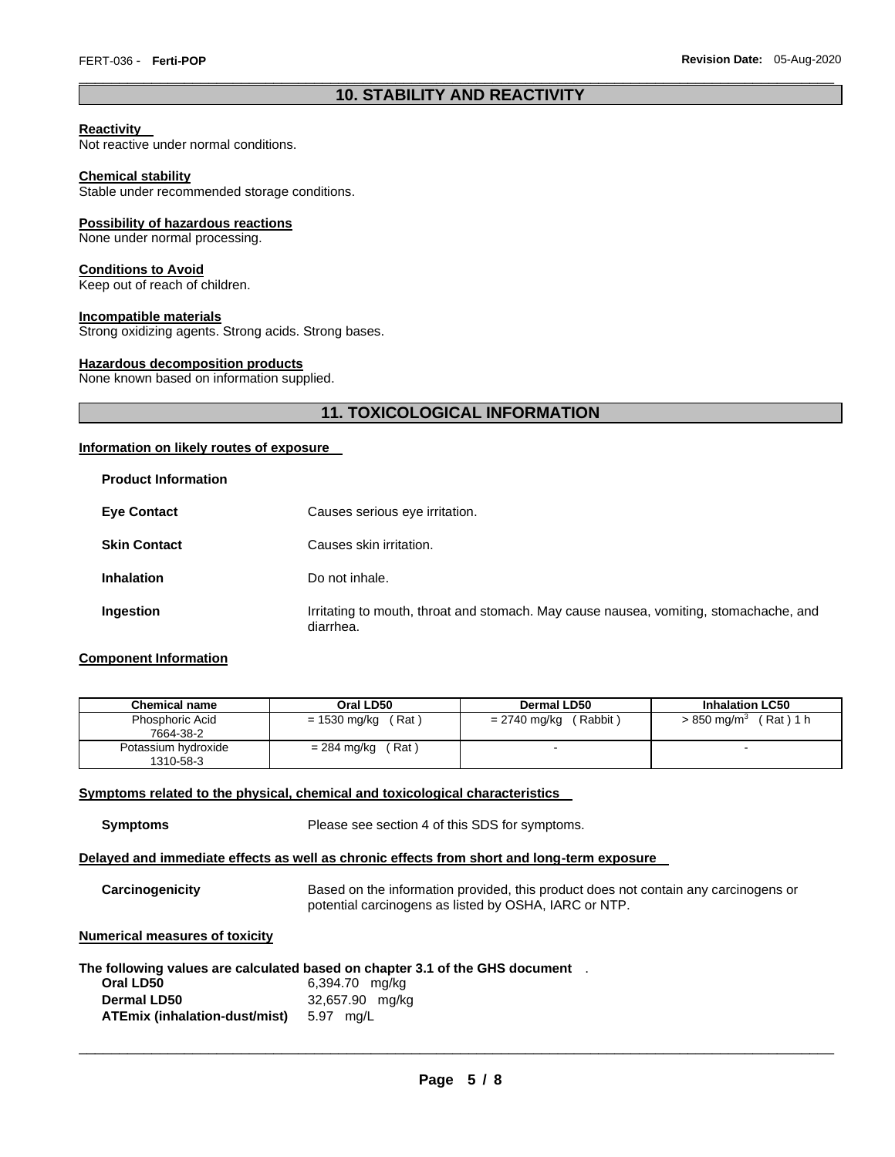# \_\_\_\_\_\_\_\_\_\_\_\_\_\_\_\_\_\_\_\_\_\_\_\_\_\_\_\_\_\_\_\_\_\_\_\_\_\_\_\_\_\_\_\_\_\_\_\_\_\_\_\_\_\_\_\_\_\_\_\_\_\_\_\_\_\_\_\_\_\_\_\_\_\_\_\_\_\_\_\_\_\_\_\_\_\_\_\_\_\_\_\_\_ **10. STABILITY AND REACTIVITY**

#### **Reactivity**

Not reactive under normal conditions.

#### **Chemical stability**

Stable under recommended storage conditions.

#### **Possibility of hazardous reactions**

None under normal processing.

#### **Conditions to Avoid**

Keep out of reach of children.

# **Incompatible materials**

Strong oxidizing agents. Strong acids. Strong bases.

#### **Hazardous decomposition products**

None known based on information supplied.

# **11. TOXICOLOGICAL INFORMATION**

#### **Information on likely routes of exposure**

| <b>Product Information</b> |                                                                                                    |
|----------------------------|----------------------------------------------------------------------------------------------------|
| <b>Eye Contact</b>         | Causes serious eye irritation.                                                                     |
| <b>Skin Contact</b>        | Causes skin irritation.                                                                            |
| <b>Inhalation</b>          | Do not inhale.                                                                                     |
| Ingestion                  | Irritating to mouth, throat and stomach. May cause nausea, vomiting, stomachache, and<br>diarrhea. |

# **Component Information**

| <b>Chemical name</b>             | Oral LD50             | Dermal LD50              | <b>Inhalation LC50</b>                   |
|----------------------------------|-----------------------|--------------------------|------------------------------------------|
| Phosphoric Acid<br>7664-38-2     | (Rat)<br>= 1530 mg/kg | (Rabbit)<br>= 2740 mg/kg | $(Rat)$ 1 h<br>$> 850$ mg/m <sup>3</sup> |
| Potassium hydroxide<br>1310-58-3 | (Rat)<br>= 284 mg/kg  |                          |                                          |

#### **Symptoms related to the physical, chemical and toxicological characteristics**

**Symptoms** Please see section 4 of this SDS for symptoms.

#### **Delayed and immediate effects as well as chronic effects from short and long-term exposure**

**Carcinogenicity** Based on the information provided, this product does not contain any carcinogens or potential carcinogens as listed by OSHA, IARC or NTP.

# **Numerical measures of toxicity**

|                               | The following values are calculated based on chapter 3.1 of the GHS document |  |
|-------------------------------|------------------------------------------------------------------------------|--|
| Oral LD50                     | 6,394.70 mg/kg                                                               |  |
| <b>Dermal LD50</b>            | 32,657.90 mg/kg                                                              |  |
| ATEmix (inhalation-dust/mist) | 5.97<br>ma/L                                                                 |  |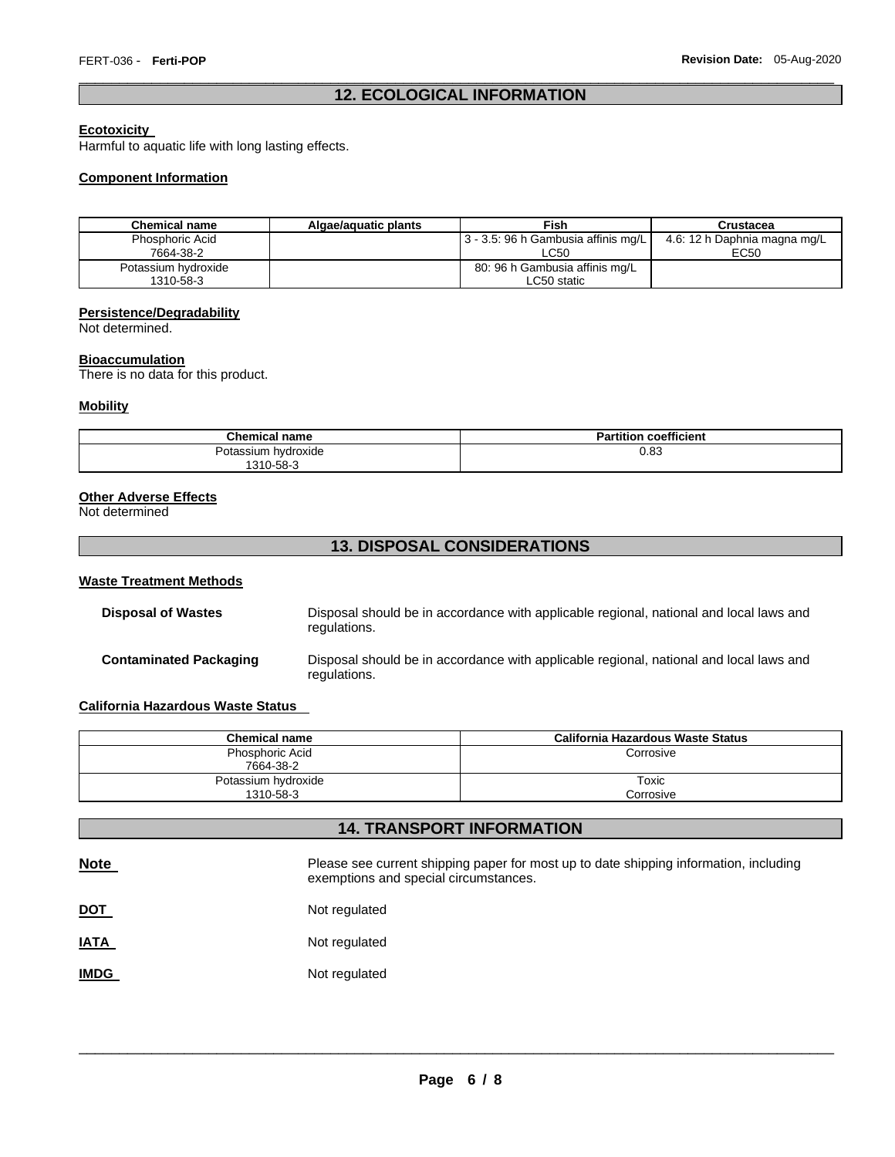# \_\_\_\_\_\_\_\_\_\_\_\_\_\_\_\_\_\_\_\_\_\_\_\_\_\_\_\_\_\_\_\_\_\_\_\_\_\_\_\_\_\_\_\_\_\_\_\_\_\_\_\_\_\_\_\_\_\_\_\_\_\_\_\_\_\_\_\_\_\_\_\_\_\_\_\_\_\_\_\_\_\_\_\_\_\_\_\_\_\_\_\_\_ **12. ECOLOGICAL INFORMATION**

# **Ecotoxicity**

Harmful to aquatic life with long lasting effects.

# **Component Information**

| <b>Chemical name</b>             | Algae/aguatic plants | Fish                                          | Crustacea                            |
|----------------------------------|----------------------|-----------------------------------------------|--------------------------------------|
| Phosphoric Acid<br>7664-38-2     |                      | 13 - 3.5: 96 h Gambusia affinis mg/L<br>LC50  | 4.6: 12 h Daphnia magna mg/L<br>EC50 |
| Potassium hydroxide<br>1310-58-3 |                      | 80: 96 h Gambusia affinis mg/L<br>LC50 static |                                      |

# **Persistence/Degradability**

Not determined.

#### **Bioaccumulation**

There is no data for this product.

# **Mobility**

| <b>Chemical name</b>   | <b>Partition coefficient</b> |
|------------------------|------------------------------|
| hvdroxide<br>Potassium | 0.83                         |
| 310-58-3<br>∩1∿        |                              |

#### **Other Adverse Effects**

Not determined

# **13. DISPOSAL CONSIDERATIONS**

#### **Waste Treatment Methods**

| <b>Disposal of Wastes</b>     | Disposal should be in accordance with applicable regional, national and local laws and<br>regulations. |
|-------------------------------|--------------------------------------------------------------------------------------------------------|
| <b>Contaminated Packaging</b> | Disposal should be in accordance with applicable regional, national and local laws and<br>regulations. |

# **California Hazardous Waste Status**

| <b>Chemical name</b>             | California Hazardous Waste Status |
|----------------------------------|-----------------------------------|
| Phosphoric Acid<br>7664-38-2     | Corrosive                         |
| Potassium hydroxide<br>1310-58-3 | Toxic<br>Corrosive                |

# **14. TRANSPORT INFORMATION**

| <b>Note</b> | Please see current shipping paper for most up to date shipping information, including<br>exemptions and special circumstances. |
|-------------|--------------------------------------------------------------------------------------------------------------------------------|
| <u>DOT</u>  | Not regulated                                                                                                                  |
| <u>IATA</u> | Not regulated                                                                                                                  |
| <b>IMDG</b> | Not regulated                                                                                                                  |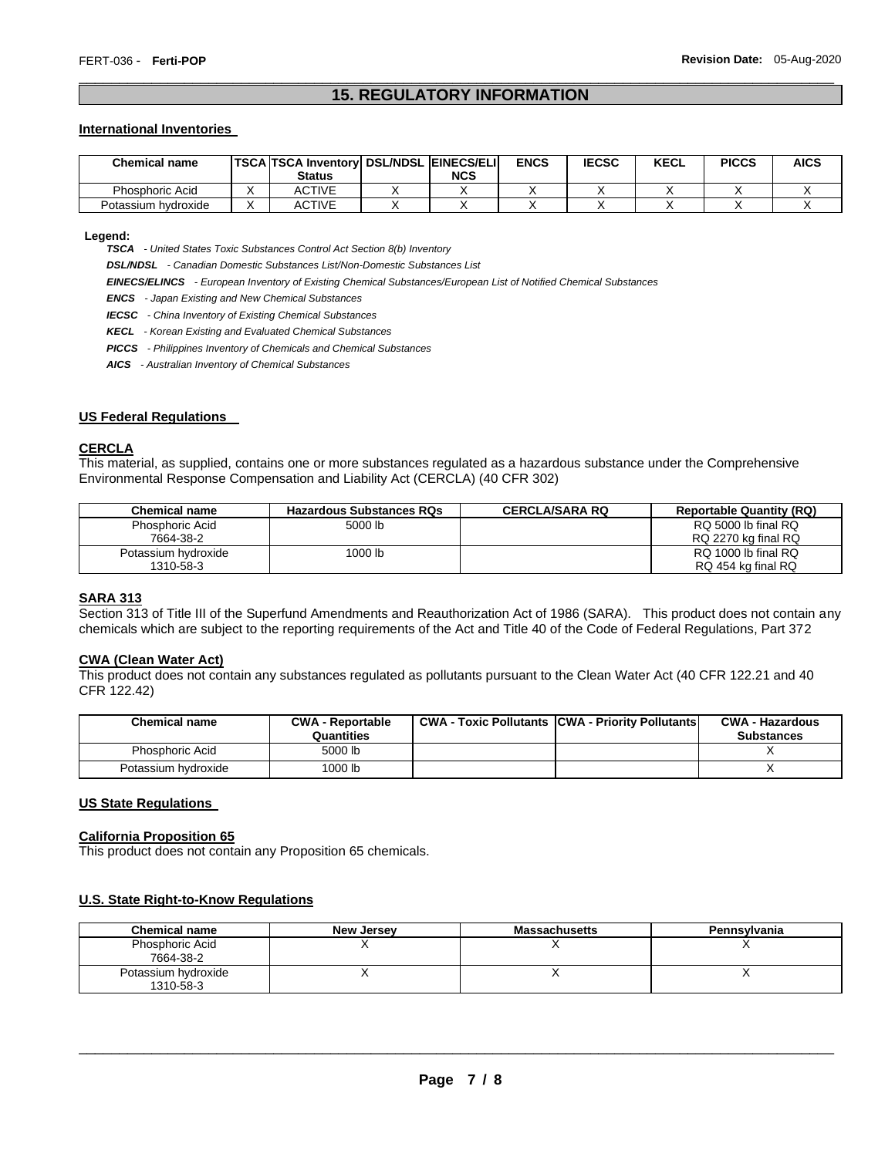# \_\_\_\_\_\_\_\_\_\_\_\_\_\_\_\_\_\_\_\_\_\_\_\_\_\_\_\_\_\_\_\_\_\_\_\_\_\_\_\_\_\_\_\_\_\_\_\_\_\_\_\_\_\_\_\_\_\_\_\_\_\_\_\_\_\_\_\_\_\_\_\_\_\_\_\_\_\_\_\_\_\_\_\_\_\_\_\_\_\_\_\_\_ **15. REGULATORY INFORMATION**

#### **International Inventories**

| <b>Chemical name</b> | TSCA TSCA Inventory   DSL/NDSL   EINECS/ELI  <br><b>Status</b> | NCS | <b>ENCS</b> | <b>IECSC</b> | <b>KECL</b> | <b>PICCS</b> | <b>AICS</b> |
|----------------------|----------------------------------------------------------------|-----|-------------|--------------|-------------|--------------|-------------|
| Phosphoric Acid      | ACTIVE                                                         |     |             |              |             |              |             |
| Potassium hydroxide  | ACTIVE                                                         |     |             |              |             |              |             |

#### **Legend:**

*TSCA - United States Toxic Substances Control Act Section 8(b) Inventory* 

*DSL/NDSL - Canadian Domestic Substances List/Non-Domestic Substances List* 

*EINECS/ELINCS - European Inventory of Existing Chemical Substances/European List of Notified Chemical Substances* 

*ENCS - Japan Existing and New Chemical Substances* 

*IECSC - China Inventory of Existing Chemical Substances* 

*KECL - Korean Existing and Evaluated Chemical Substances* 

*PICCS - Philippines Inventory of Chemicals and Chemical Substances* 

*AICS - Australian Inventory of Chemical Substances* 

# **US Federal Regulations**

#### **CERCLA**

This material, as supplied, contains one or more substances regulated as a hazardous substance under the Comprehensive Environmental Response Compensation and Liability Act (CERCLA) (40 CFR 302)

| <b>Chemical name</b>   | <b>Hazardous Substances RQs</b> | <b>CERCLA/SARA RQ</b> | <b>Reportable Quantity (RQ)</b> |
|------------------------|---------------------------------|-----------------------|---------------------------------|
| <b>Phosphoric Acid</b> | 5000 lb                         |                       | RQ 5000 lb final RQ             |
| 7664-38-2              |                                 |                       | RQ 2270 kg final RQ             |
| Potassium hydroxide    | 1000 lb                         |                       | RQ 1000 lb final RQ             |
| 1310-58-3              |                                 |                       | RQ 454 kg final RQ              |

#### **SARA 313**

Section 313 of Title III of the Superfund Amendments and Reauthorization Act of 1986 (SARA). This product does not contain any chemicals which are subject to the reporting requirements of the Act and Title 40 of the Code of Federal Regulations, Part 372

#### **CWA (Clean Water Act)**

This product does not contain any substances regulated as pollutants pursuant to the Clean Water Act (40 CFR 122.21 and 40 CFR 122.42)

| <b>Chemical name</b> | <b>CWA - Reportable</b><br>Quantities | <b>CWA - Toxic Pollutants CWA - Priority Pollutants</b> | <b>CWA - Hazardous</b><br><b>Substances</b> |
|----------------------|---------------------------------------|---------------------------------------------------------|---------------------------------------------|
| Phosphoric Acid      | 5000 lb                               |                                                         |                                             |
| Potassium hydroxide  | 1000 lb                               |                                                         |                                             |

# **US State Regulations**

#### **California Proposition 65**

This product does not contain any Proposition 65 chemicals.

# **U.S. State Right-to-Know Regulations**

| <b>Chemical name</b>         | New Jersey | <b>Massachusetts</b> | Pennsylvania |
|------------------------------|------------|----------------------|--------------|
| Phosphoric Acid<br>7664-38-2 |            |                      |              |
| Potassium hydroxide          |            |                      |              |
| 1310-58-3                    |            |                      |              |